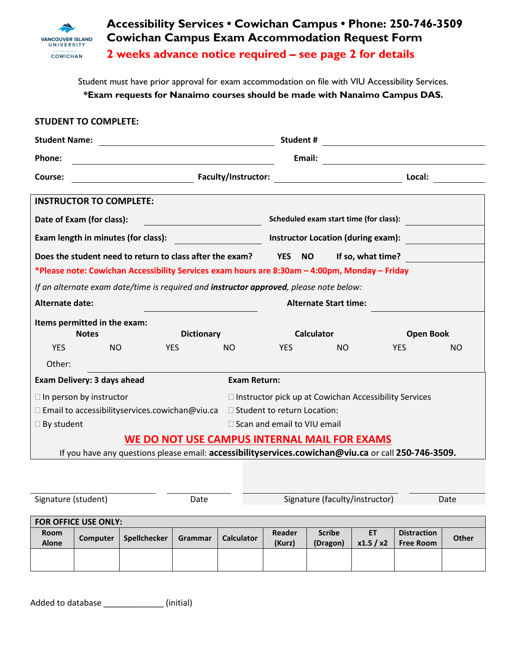

**Accessibility Services • Cowichan Campus • Phone: 250-746-3509 Cowichan Campus Exam Accommodation Request Form 2 weeks advance notice required – see page 2 for details**

Student must have prior approval for exam accommodation on file with VIU Accessibility Services. **\*Exam requests for Nanaimo courses should be made with Nanaimo Campus DAS.**

| <b>STUDENT TO COMPLETE:</b>                                                                              |          |              |                         |                   |                                        |                  |                                                                                                                                |                        |                                        |                  |  |
|----------------------------------------------------------------------------------------------------------|----------|--------------|-------------------------|-------------------|----------------------------------------|------------------|--------------------------------------------------------------------------------------------------------------------------------|------------------------|----------------------------------------|------------------|--|
| <b>Student Name:</b>                                                                                     |          |              |                         |                   |                                        |                  | Student #<br><u> 1989 - Andrea Barbara, política española</u>                                                                  |                        |                                        |                  |  |
| Phone:                                                                                                   |          |              |                         |                   |                                        |                  | Email:<br><u> 1989 - Jan Stein Stein Stein Stein Stein Stein Stein Stein Stein Stein Stein Stein Stein Stein Stein Stein S</u> |                        |                                        |                  |  |
| Faculty/Instructor:<br>Course:                                                                           |          |              |                         |                   |                                        |                  | <u> 1989 - Jan Stein Stein Stein Stein Stein Stein Stein Stein Stein Stein Stein Stein Stein Stein Stein Stein S</u>           | Local:                 |                                        |                  |  |
| <b>INSTRUCTOR TO COMPLETE:</b>                                                                           |          |              |                         |                   |                                        |                  |                                                                                                                                |                        |                                        |                  |  |
| Date of Exam (for class):                                                                                |          |              |                         |                   |                                        |                  | Scheduled exam start time (for class):                                                                                         |                        |                                        |                  |  |
| Exam length in minutes (for class):                                                                      |          |              |                         |                   |                                        |                  | <b>Instructor Location (during exam):</b>                                                                                      |                        |                                        |                  |  |
| Does the student need to return to class after the exam?<br><b>YES</b><br><b>NO</b><br>If so, what time? |          |              |                         |                   |                                        |                  |                                                                                                                                |                        |                                        |                  |  |
| *Please note: Cowichan Accessibility Services exam hours are 8:30am - 4:00pm, Monday - Friday            |          |              |                         |                   |                                        |                  |                                                                                                                                |                        |                                        |                  |  |
| If an alternate exam date/time is required and instructor approved, please note below:                   |          |              |                         |                   |                                        |                  |                                                                                                                                |                        |                                        |                  |  |
| <b>Alternate date:</b><br><b>Alternate Start time:</b>                                                   |          |              |                         |                   |                                        |                  |                                                                                                                                |                        |                                        |                  |  |
| Items permitted in the exam:<br><b>Dictionary</b><br><b>Notes</b>                                        |          |              |                         |                   |                                        |                  | <b>Calculator</b>                                                                                                              |                        |                                        | <b>Open Book</b> |  |
| <b>YES</b><br><b>NO</b>                                                                                  |          |              | <b>NO</b><br><b>YES</b> |                   |                                        | <b>YES</b>       | <b>NO</b>                                                                                                                      |                        | <b>YES</b><br>NO.                      |                  |  |
| Other:                                                                                                   |          |              |                         |                   |                                        |                  |                                                                                                                                |                        |                                        |                  |  |
| <b>Exam Return:</b><br>Exam Delivery: 3 days ahead                                                       |          |              |                         |                   |                                        |                  |                                                                                                                                |                        |                                        |                  |  |
| $\Box$ In person by instructor<br>$\Box$ Instructor pick up at Cowichan Accessibility Services           |          |              |                         |                   |                                        |                  |                                                                                                                                |                        |                                        |                  |  |
| $\Box$ Email to accessibilityservices.cowichan@viu.ca<br>□ Student to return Location:                   |          |              |                         |                   |                                        |                  |                                                                                                                                |                        |                                        |                  |  |
| $\Box$ By student<br>□ Scan and email to VIU email                                                       |          |              |                         |                   |                                        |                  |                                                                                                                                |                        |                                        |                  |  |
| WE DO NOT USE CAMPUS INTERNAL MAIL FOR EXAMS                                                             |          |              |                         |                   |                                        |                  |                                                                                                                                |                        |                                        |                  |  |
| If you have any questions please email: accessibilityservices.cowichan@viu.ca or call 250-746-3509.      |          |              |                         |                   |                                        |                  |                                                                                                                                |                        |                                        |                  |  |
|                                                                                                          |          |              |                         |                   |                                        |                  |                                                                                                                                |                        |                                        |                  |  |
|                                                                                                          |          |              |                         |                   |                                        |                  |                                                                                                                                |                        |                                        |                  |  |
| Signature (student)<br>Date                                                                              |          |              |                         |                   | Signature (faculty/instructor)<br>Date |                  |                                                                                                                                |                        |                                        |                  |  |
| FOR OFFICE USE ONLY:                                                                                     |          |              |                         |                   |                                        |                  |                                                                                                                                |                        |                                        |                  |  |
| Room<br><b>Alone</b>                                                                                     | Computer | Spellchecker | Grammar                 | <b>Calculator</b> |                                        | Reader<br>(Kurz) | <b>Scribe</b><br>(Dragon)                                                                                                      | <b>ET</b><br>x1.5 / x2 | <b>Distraction</b><br><b>Free Room</b> | <b>Other</b>     |  |
|                                                                                                          |          |              |                         |                   |                                        |                  |                                                                                                                                |                        |                                        |                  |  |

Added to database \_\_\_\_\_\_\_\_\_\_\_\_\_\_\_\_\_\_\_\_(initial)